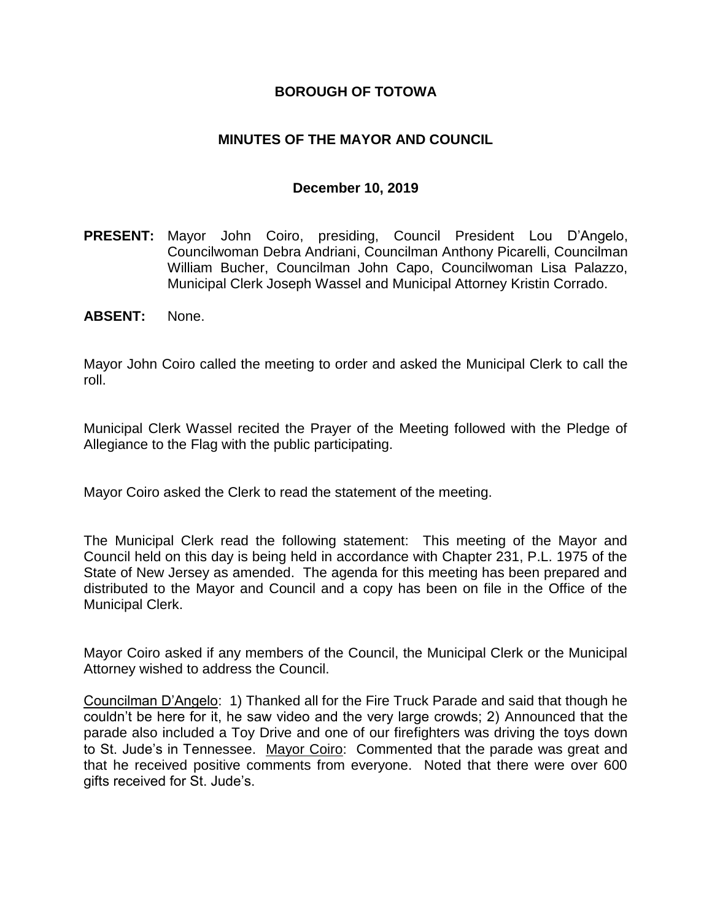#### **BOROUGH OF TOTOWA**

## **MINUTES OF THE MAYOR AND COUNCIL**

#### **December 10, 2019**

- **PRESENT:** Mayor John Coiro, presiding, Council President Lou D'Angelo, Councilwoman Debra Andriani, Councilman Anthony Picarelli, Councilman William Bucher, Councilman John Capo, Councilwoman Lisa Palazzo, Municipal Clerk Joseph Wassel and Municipal Attorney Kristin Corrado.
- **ABSENT:** None.

Mayor John Coiro called the meeting to order and asked the Municipal Clerk to call the roll.

Municipal Clerk Wassel recited the Prayer of the Meeting followed with the Pledge of Allegiance to the Flag with the public participating.

Mayor Coiro asked the Clerk to read the statement of the meeting.

The Municipal Clerk read the following statement: This meeting of the Mayor and Council held on this day is being held in accordance with Chapter 231, P.L. 1975 of the State of New Jersey as amended. The agenda for this meeting has been prepared and distributed to the Mayor and Council and a copy has been on file in the Office of the Municipal Clerk.

Mayor Coiro asked if any members of the Council, the Municipal Clerk or the Municipal Attorney wished to address the Council.

Councilman D'Angelo: 1) Thanked all for the Fire Truck Parade and said that though he couldn't be here for it, he saw video and the very large crowds; 2) Announced that the parade also included a Toy Drive and one of our firefighters was driving the toys down to St. Jude's in Tennessee. Mayor Coiro: Commented that the parade was great and that he received positive comments from everyone. Noted that there were over 600 gifts received for St. Jude's.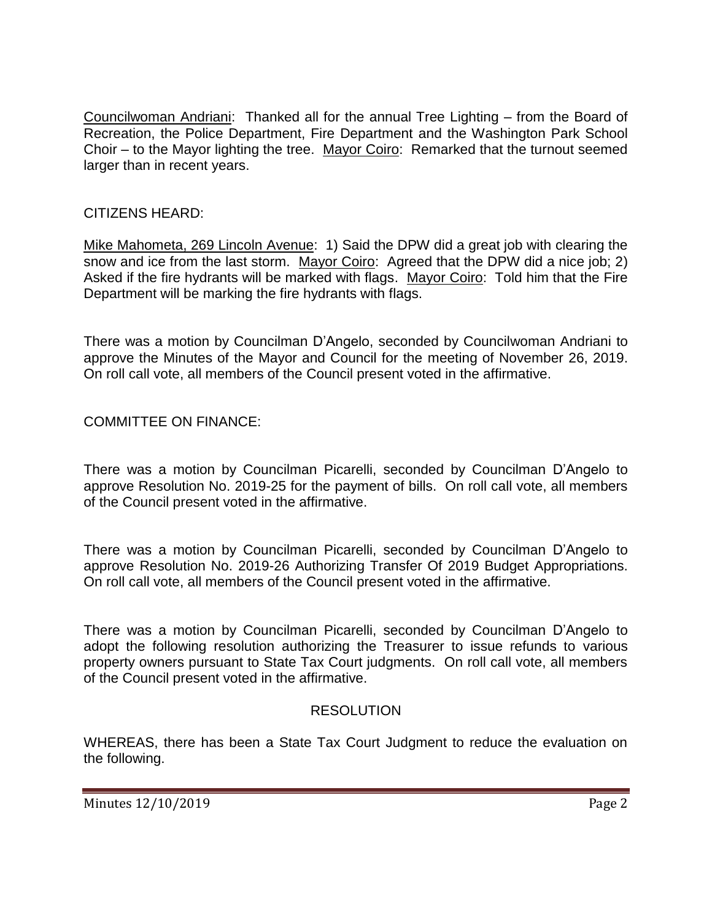Councilwoman Andriani: Thanked all for the annual Tree Lighting – from the Board of Recreation, the Police Department, Fire Department and the Washington Park School Choir – to the Mayor lighting the tree. Mayor Coiro: Remarked that the turnout seemed larger than in recent years.

# CITIZENS HEARD:

Mike Mahometa, 269 Lincoln Avenue: 1) Said the DPW did a great job with clearing the snow and ice from the last storm. Mayor Coiro: Agreed that the DPW did a nice job; 2) Asked if the fire hydrants will be marked with flags. Mayor Coiro: Told him that the Fire Department will be marking the fire hydrants with flags.

There was a motion by Councilman D'Angelo, seconded by Councilwoman Andriani to approve the Minutes of the Mayor and Council for the meeting of November 26, 2019. On roll call vote, all members of the Council present voted in the affirmative.

COMMITTEE ON FINANCE:

There was a motion by Councilman Picarelli, seconded by Councilman D'Angelo to approve Resolution No. 2019-25 for the payment of bills. On roll call vote, all members of the Council present voted in the affirmative.

There was a motion by Councilman Picarelli, seconded by Councilman D'Angelo to approve Resolution No. 2019-26 Authorizing Transfer Of 2019 Budget Appropriations. On roll call vote, all members of the Council present voted in the affirmative.

There was a motion by Councilman Picarelli, seconded by Councilman D'Angelo to adopt the following resolution authorizing the Treasurer to issue refunds to various property owners pursuant to State Tax Court judgments. On roll call vote, all members of the Council present voted in the affirmative.

## **RESOLUTION**

WHEREAS, there has been a State Tax Court Judgment to reduce the evaluation on the following.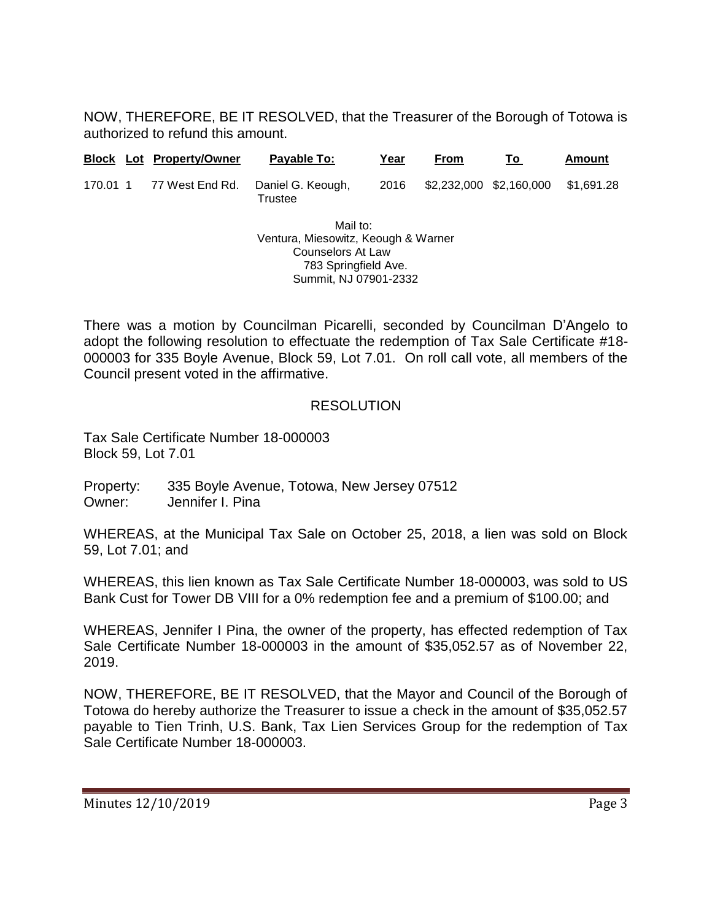NOW, THEREFORE, BE IT RESOLVED, that the Treasurer of the Borough of Totowa is authorized to refund this amount.

|          |                                                                                                     | <b>Block Lot Property/Owner</b> | Payable To:                  | Year | <b>From</b> | Τo                      | <b>Amount</b> |  |
|----------|-----------------------------------------------------------------------------------------------------|---------------------------------|------------------------------|------|-------------|-------------------------|---------------|--|
| 170.01 1 |                                                                                                     | 77 West End Rd.                 | Daniel G. Keough,<br>Trustee | 2016 |             | \$2,232,000 \$2,160,000 | \$1.691.28    |  |
|          | Mail to:<br>Ventura, Miesowitz, Keough & Warner<br><b>Counselors At Law</b><br>783 Springfield Ave. |                                 |                              |      |             |                         |               |  |

There was a motion by Councilman Picarelli, seconded by Councilman D'Angelo to adopt the following resolution to effectuate the redemption of Tax Sale Certificate #18- 000003 for 335 Boyle Avenue, Block 59, Lot 7.01. On roll call vote, all members of the Council present voted in the affirmative.

Summit, NJ 07901-2332

#### RESOLUTION

Tax Sale Certificate Number 18-000003 Block 59, Lot 7.01

Property: 335 Boyle Avenue, Totowa, New Jersey 07512 Owner: Jennifer I. Pina

WHEREAS, at the Municipal Tax Sale on October 25, 2018, a lien was sold on Block 59, Lot 7.01; and

WHEREAS, this lien known as Tax Sale Certificate Number 18-000003, was sold to US Bank Cust for Tower DB VIII for a 0% redemption fee and a premium of \$100.00; and

WHEREAS, Jennifer I Pina, the owner of the property, has effected redemption of Tax Sale Certificate Number 18-000003 in the amount of \$35,052.57 as of November 22, 2019.

NOW, THEREFORE, BE IT RESOLVED, that the Mayor and Council of the Borough of Totowa do hereby authorize the Treasurer to issue a check in the amount of \$35,052.57 payable to Tien Trinh, U.S. Bank, Tax Lien Services Group for the redemption of Tax Sale Certificate Number 18-000003.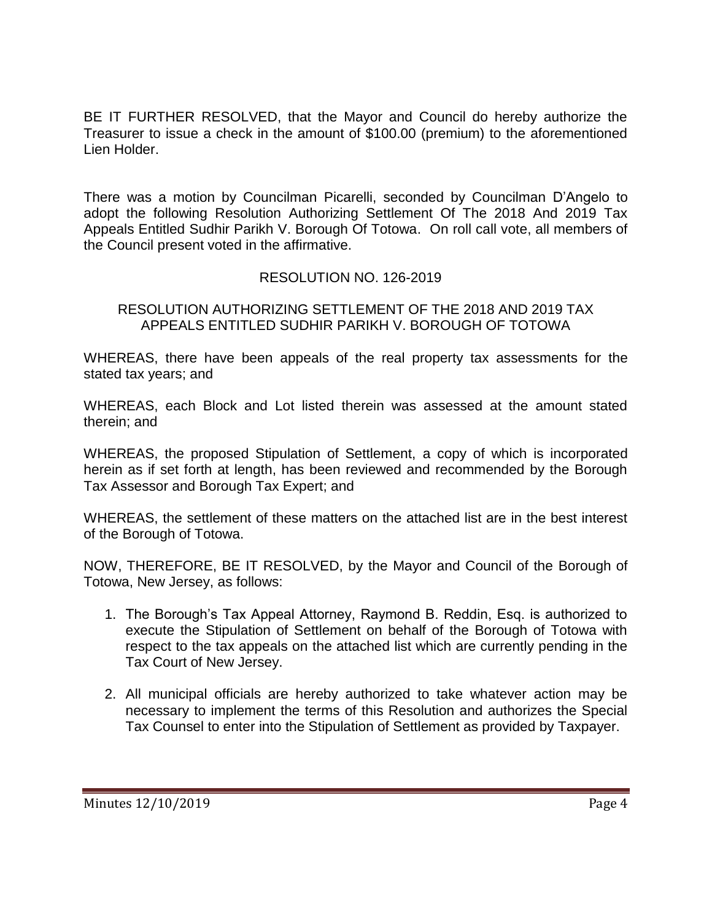BE IT FURTHER RESOLVED, that the Mayor and Council do hereby authorize the Treasurer to issue a check in the amount of \$100.00 (premium) to the aforementioned Lien Holder.

There was a motion by Councilman Picarelli, seconded by Councilman D'Angelo to adopt the following Resolution Authorizing Settlement Of The 2018 And 2019 Tax Appeals Entitled Sudhir Parikh V. Borough Of Totowa. On roll call vote, all members of the Council present voted in the affirmative.

#### RESOLUTION NO. 126-2019

RESOLUTION AUTHORIZING SETTLEMENT OF THE 2018 AND 2019 TAX APPEALS ENTITLED SUDHIR PARIKH V. BOROUGH OF TOTOWA

WHEREAS, there have been appeals of the real property tax assessments for the stated tax years; and

WHEREAS, each Block and Lot listed therein was assessed at the amount stated therein; and

WHEREAS, the proposed Stipulation of Settlement, a copy of which is incorporated herein as if set forth at length, has been reviewed and recommended by the Borough Tax Assessor and Borough Tax Expert; and

WHEREAS, the settlement of these matters on the attached list are in the best interest of the Borough of Totowa.

NOW, THEREFORE, BE IT RESOLVED, by the Mayor and Council of the Borough of Totowa, New Jersey, as follows:

- 1. The Borough's Tax Appeal Attorney, Raymond B. Reddin, Esq. is authorized to execute the Stipulation of Settlement on behalf of the Borough of Totowa with respect to the tax appeals on the attached list which are currently pending in the Tax Court of New Jersey.
- 2. All municipal officials are hereby authorized to take whatever action may be necessary to implement the terms of this Resolution and authorizes the Special Tax Counsel to enter into the Stipulation of Settlement as provided by Taxpayer.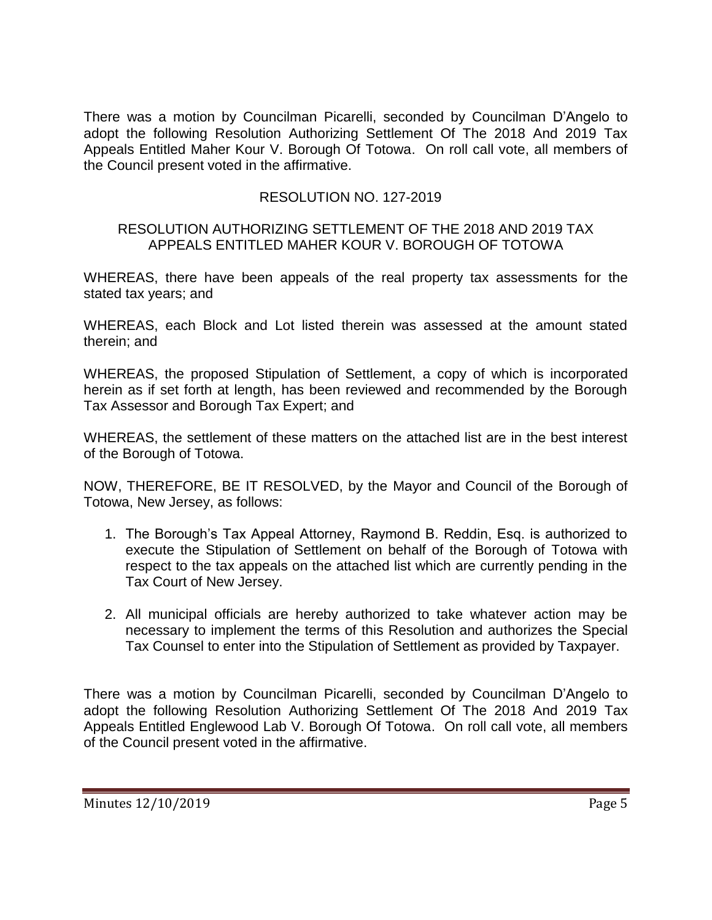There was a motion by Councilman Picarelli, seconded by Councilman D'Angelo to adopt the following Resolution Authorizing Settlement Of The 2018 And 2019 Tax Appeals Entitled Maher Kour V. Borough Of Totowa. On roll call vote, all members of the Council present voted in the affirmative.

## RESOLUTION NO. 127-2019

#### RESOLUTION AUTHORIZING SETTLEMENT OF THE 2018 AND 2019 TAX APPEALS ENTITLED MAHER KOUR V. BOROUGH OF TOTOWA

WHEREAS, there have been appeals of the real property tax assessments for the stated tax years; and

WHEREAS, each Block and Lot listed therein was assessed at the amount stated therein; and

WHEREAS, the proposed Stipulation of Settlement, a copy of which is incorporated herein as if set forth at length, has been reviewed and recommended by the Borough Tax Assessor and Borough Tax Expert; and

WHEREAS, the settlement of these matters on the attached list are in the best interest of the Borough of Totowa.

NOW, THEREFORE, BE IT RESOLVED, by the Mayor and Council of the Borough of Totowa, New Jersey, as follows:

- 1. The Borough's Tax Appeal Attorney, Raymond B. Reddin, Esq. is authorized to execute the Stipulation of Settlement on behalf of the Borough of Totowa with respect to the tax appeals on the attached list which are currently pending in the Tax Court of New Jersey.
- 2. All municipal officials are hereby authorized to take whatever action may be necessary to implement the terms of this Resolution and authorizes the Special Tax Counsel to enter into the Stipulation of Settlement as provided by Taxpayer.

There was a motion by Councilman Picarelli, seconded by Councilman D'Angelo to adopt the following Resolution Authorizing Settlement Of The 2018 And 2019 Tax Appeals Entitled Englewood Lab V. Borough Of Totowa. On roll call vote, all members of the Council present voted in the affirmative.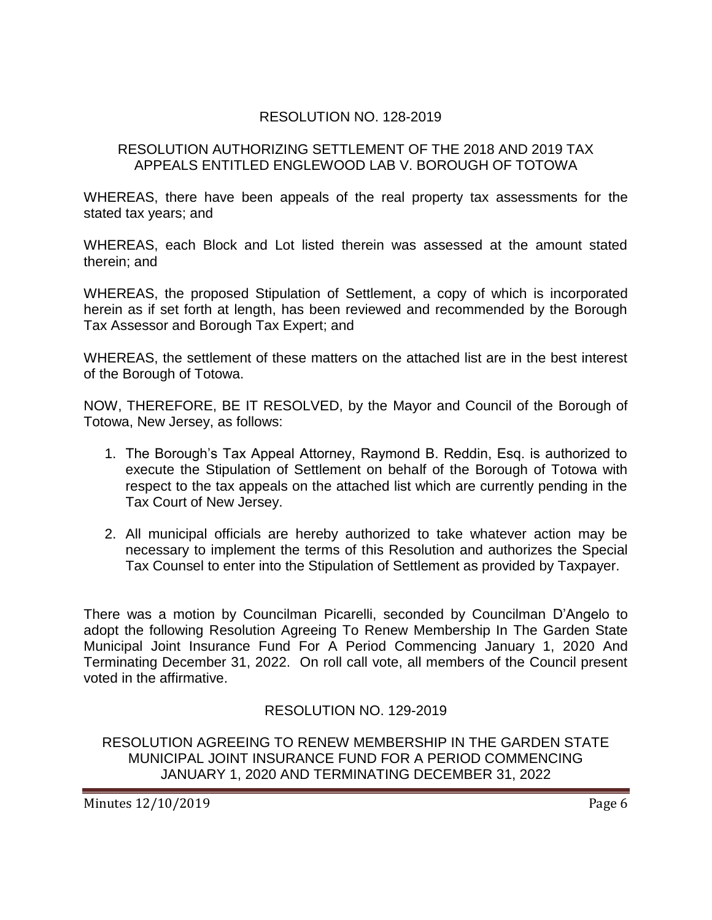## RESOLUTION NO. 128-2019

#### RESOLUTION AUTHORIZING SETTLEMENT OF THE 2018 AND 2019 TAX APPEALS ENTITLED ENGLEWOOD LAB V. BOROUGH OF TOTOWA

WHEREAS, there have been appeals of the real property tax assessments for the stated tax years; and

WHEREAS, each Block and Lot listed therein was assessed at the amount stated therein; and

WHEREAS, the proposed Stipulation of Settlement, a copy of which is incorporated herein as if set forth at length, has been reviewed and recommended by the Borough Tax Assessor and Borough Tax Expert; and

WHEREAS, the settlement of these matters on the attached list are in the best interest of the Borough of Totowa.

NOW, THEREFORE, BE IT RESOLVED, by the Mayor and Council of the Borough of Totowa, New Jersey, as follows:

- 1. The Borough's Tax Appeal Attorney, Raymond B. Reddin, Esq. is authorized to execute the Stipulation of Settlement on behalf of the Borough of Totowa with respect to the tax appeals on the attached list which are currently pending in the Tax Court of New Jersey.
- 2. All municipal officials are hereby authorized to take whatever action may be necessary to implement the terms of this Resolution and authorizes the Special Tax Counsel to enter into the Stipulation of Settlement as provided by Taxpayer.

There was a motion by Councilman Picarelli, seconded by Councilman D'Angelo to adopt the following Resolution Agreeing To Renew Membership In The Garden State Municipal Joint Insurance Fund For A Period Commencing January 1, 2020 And Terminating December 31, 2022. On roll call vote, all members of the Council present voted in the affirmative.

## RESOLUTION NO. 129-2019

RESOLUTION AGREEING TO RENEW MEMBERSHIP IN THE GARDEN STATE MUNICIPAL JOINT INSURANCE FUND FOR A PERIOD COMMENCING JANUARY 1, 2020 AND TERMINATING DECEMBER 31, 2022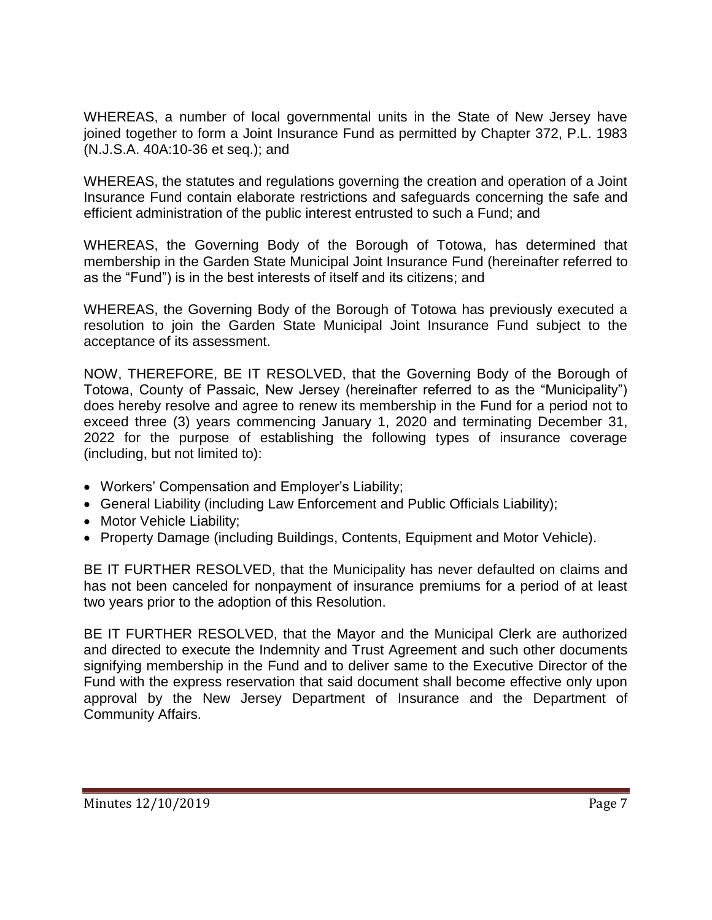WHEREAS, a number of local governmental units in the State of New Jersey have joined together to form a Joint Insurance Fund as permitted by Chapter 372, P.L. 1983 (N.J.S.A. 40A:10-36 et seq.); and

WHEREAS, the statutes and regulations governing the creation and operation of a Joint Insurance Fund contain elaborate restrictions and safeguards concerning the safe and efficient administration of the public interest entrusted to such a Fund; and

WHEREAS, the Governing Body of the Borough of Totowa, has determined that membership in the Garden State Municipal Joint Insurance Fund (hereinafter referred to as the "Fund") is in the best interests of itself and its citizens; and

WHEREAS, the Governing Body of the Borough of Totowa has previously executed a resolution to join the Garden State Municipal Joint Insurance Fund subject to the acceptance of its assessment.

NOW, THEREFORE, BE IT RESOLVED, that the Governing Body of the Borough of Totowa, County of Passaic, New Jersey (hereinafter referred to as the "Municipality") does hereby resolve and agree to renew its membership in the Fund for a period not to exceed three (3) years commencing January 1, 2020 and terminating December 31, 2022 for the purpose of establishing the following types of insurance coverage (including, but not limited to):

- Workers' Compensation and Employer's Liability;
- General Liability (including Law Enforcement and Public Officials Liability);
- Motor Vehicle Liability;
- Property Damage (including Buildings, Contents, Equipment and Motor Vehicle).

BE IT FURTHER RESOLVED, that the Municipality has never defaulted on claims and has not been canceled for nonpayment of insurance premiums for a period of at least two years prior to the adoption of this Resolution.

BE IT FURTHER RESOLVED, that the Mayor and the Municipal Clerk are authorized and directed to execute the Indemnity and Trust Agreement and such other documents signifying membership in the Fund and to deliver same to the Executive Director of the Fund with the express reservation that said document shall become effective only upon approval by the New Jersey Department of Insurance and the Department of Community Affairs.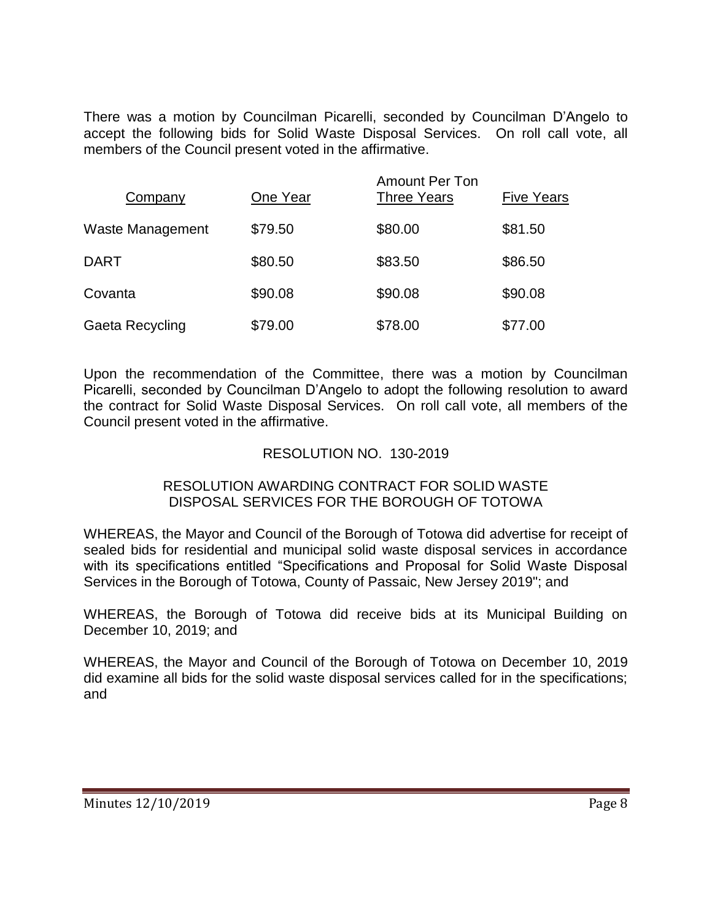There was a motion by Councilman Picarelli, seconded by Councilman D'Angelo to accept the following bids for Solid Waste Disposal Services. On roll call vote, all members of the Council present voted in the affirmative.

| Company          | One Year | <b>Amount Per Ton</b><br><b>Three Years</b> | <b>Five Years</b> |
|------------------|----------|---------------------------------------------|-------------------|
| Waste Management | \$79.50  | \$80.00                                     | \$81.50           |
| <b>DART</b>      | \$80.50  | \$83.50                                     | \$86.50           |
| Covanta          | \$90.08  | \$90.08                                     | \$90.08           |
| Gaeta Recycling  | \$79.00  | \$78.00                                     | \$77.00           |

Upon the recommendation of the Committee, there was a motion by Councilman Picarelli, seconded by Councilman D'Angelo to adopt the following resolution to award the contract for Solid Waste Disposal Services. On roll call vote, all members of the Council present voted in the affirmative.

## RESOLUTION NO. 130-2019

#### RESOLUTION AWARDING CONTRACT FOR SOLID WASTE DISPOSAL SERVICES FOR THE BOROUGH OF TOTOWA

WHEREAS, the Mayor and Council of the Borough of Totowa did advertise for receipt of sealed bids for residential and municipal solid waste disposal services in accordance with its specifications entitled "Specifications and Proposal for Solid Waste Disposal Services in the Borough of Totowa, County of Passaic, New Jersey 2019"; and

WHEREAS, the Borough of Totowa did receive bids at its Municipal Building on December 10, 2019; and

WHEREAS, the Mayor and Council of the Borough of Totowa on December 10, 2019 did examine all bids for the solid waste disposal services called for in the specifications; and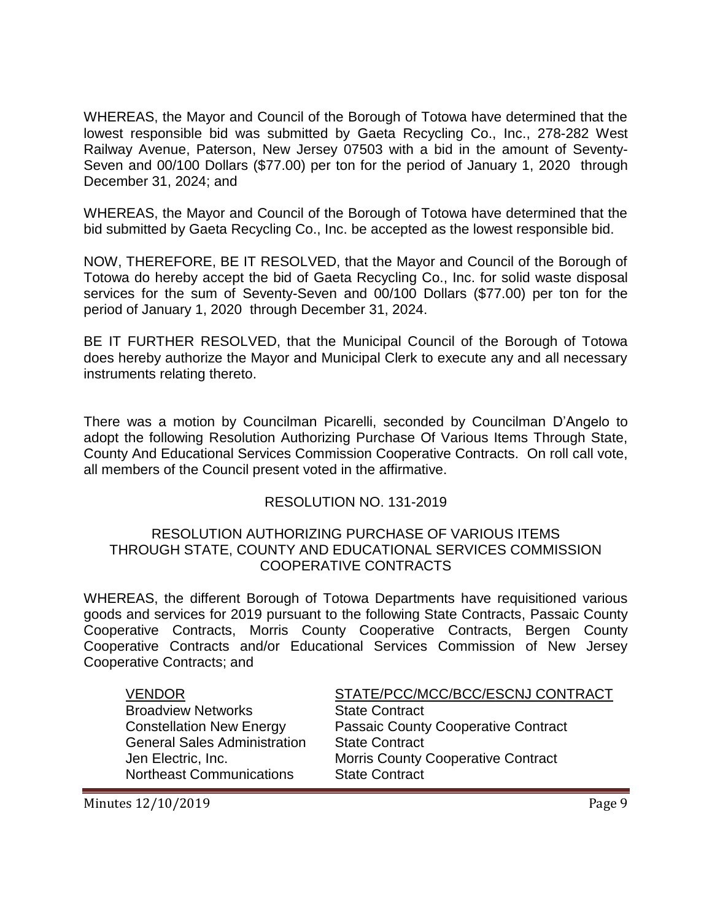WHEREAS, the Mayor and Council of the Borough of Totowa have determined that the lowest responsible bid was submitted by Gaeta Recycling Co., Inc., 278-282 West Railway Avenue, Paterson, New Jersey 07503 with a bid in the amount of Seventy-Seven and 00/100 Dollars (\$77.00) per ton for the period of January 1, 2020 through December 31, 2024; and

WHEREAS, the Mayor and Council of the Borough of Totowa have determined that the bid submitted by Gaeta Recycling Co., Inc. be accepted as the lowest responsible bid.

NOW, THEREFORE, BE IT RESOLVED, that the Mayor and Council of the Borough of Totowa do hereby accept the bid of Gaeta Recycling Co., Inc. for solid waste disposal services for the sum of Seventy-Seven and 00/100 Dollars (\$77.00) per ton for the period of January 1, 2020 through December 31, 2024.

BE IT FURTHER RESOLVED, that the Municipal Council of the Borough of Totowa does hereby authorize the Mayor and Municipal Clerk to execute any and all necessary instruments relating thereto.

There was a motion by Councilman Picarelli, seconded by Councilman D'Angelo to adopt the following Resolution Authorizing Purchase Of Various Items Through State, County And Educational Services Commission Cooperative Contracts. On roll call vote, all members of the Council present voted in the affirmative.

#### RESOLUTION NO. 131-2019

#### RESOLUTION AUTHORIZING PURCHASE OF VARIOUS ITEMS THROUGH STATE, COUNTY AND EDUCATIONAL SERVICES COMMISSION COOPERATIVE CONTRACTS

WHEREAS, the different Borough of Totowa Departments have requisitioned various goods and services for 2019 pursuant to the following State Contracts, Passaic County Cooperative Contracts, Morris County Cooperative Contracts, Bergen County Cooperative Contracts and/or Educational Services Commission of New Jersey Cooperative Contracts; and

**Broadview Networks State Contract** General Sales Administration State Contract Northeast Communications State Contract

VENDOR STATE/PCC/MCC/BCC/ESCNJ CONTRACT Constellation New Energy Passaic County Cooperative Contract Jen Electric, Inc. Morris County Cooperative Contract

Minutes  $12/10/2019$  Page 9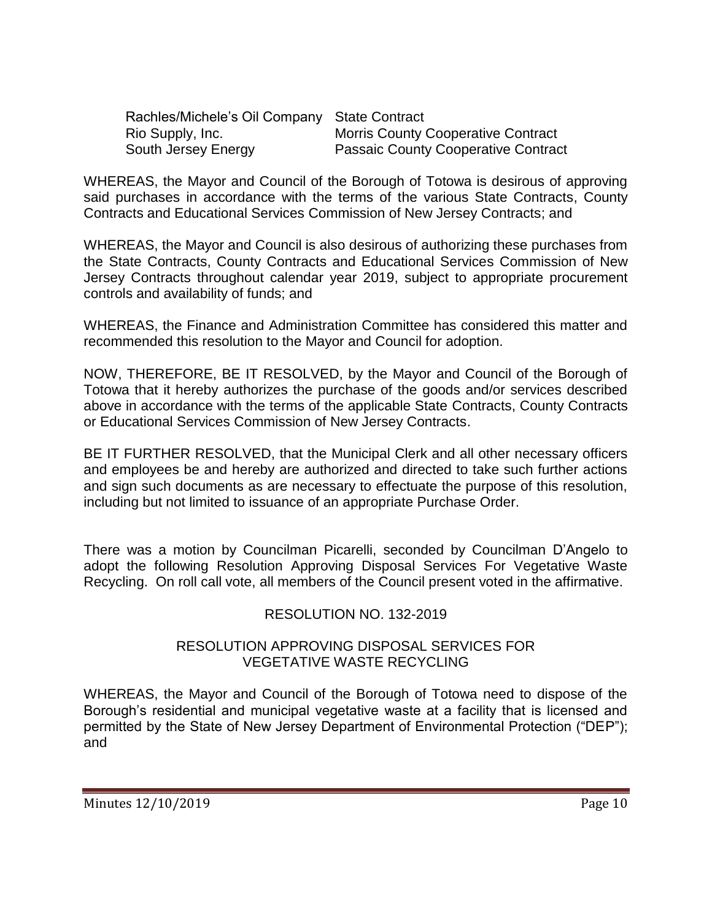| Rachles/Michele's Oil Company State Contract |                                            |
|----------------------------------------------|--------------------------------------------|
| Rio Supply, Inc.                             | <b>Morris County Cooperative Contract</b>  |
| South Jersey Energy                          | <b>Passaic County Cooperative Contract</b> |

WHEREAS, the Mayor and Council of the Borough of Totowa is desirous of approving said purchases in accordance with the terms of the various State Contracts, County Contracts and Educational Services Commission of New Jersey Contracts; and

WHEREAS, the Mayor and Council is also desirous of authorizing these purchases from the State Contracts, County Contracts and Educational Services Commission of New Jersey Contracts throughout calendar year 2019, subject to appropriate procurement controls and availability of funds; and

WHEREAS, the Finance and Administration Committee has considered this matter and recommended this resolution to the Mayor and Council for adoption.

NOW, THEREFORE, BE IT RESOLVED, by the Mayor and Council of the Borough of Totowa that it hereby authorizes the purchase of the goods and/or services described above in accordance with the terms of the applicable State Contracts, County Contracts or Educational Services Commission of New Jersey Contracts.

BE IT FURTHER RESOLVED, that the Municipal Clerk and all other necessary officers and employees be and hereby are authorized and directed to take such further actions and sign such documents as are necessary to effectuate the purpose of this resolution, including but not limited to issuance of an appropriate Purchase Order.

There was a motion by Councilman Picarelli, seconded by Councilman D'Angelo to adopt the following Resolution Approving Disposal Services For Vegetative Waste Recycling. On roll call vote, all members of the Council present voted in the affirmative.

## RESOLUTION NO. 132-2019

#### RESOLUTION APPROVING DISPOSAL SERVICES FOR VEGETATIVE WASTE RECYCLING

WHEREAS, the Mayor and Council of the Borough of Totowa need to dispose of the Borough's residential and municipal vegetative waste at a facility that is licensed and permitted by the State of New Jersey Department of Environmental Protection ("DEP"); and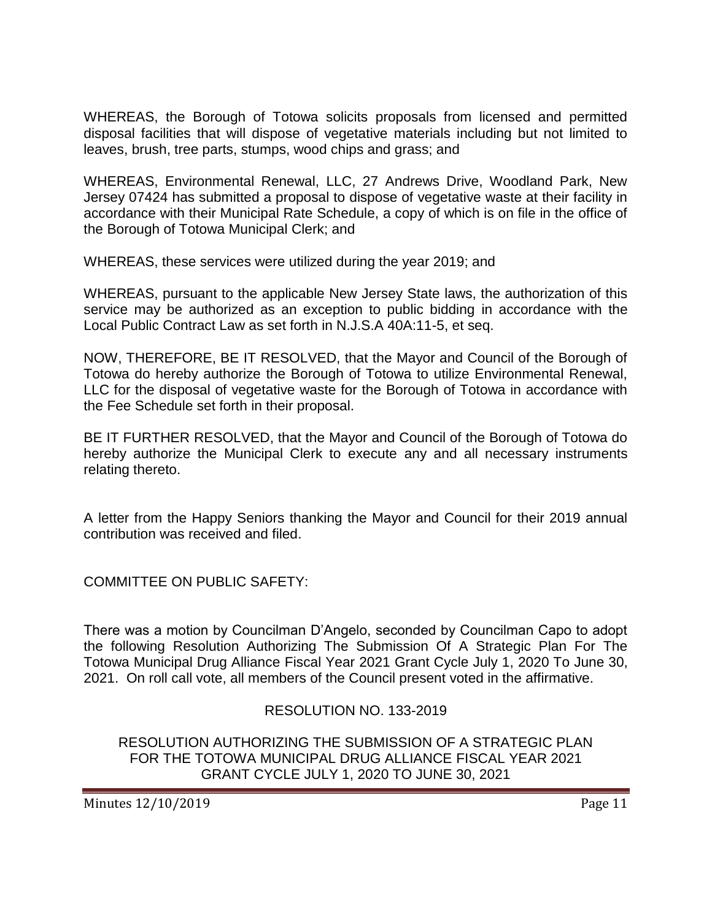WHEREAS, the Borough of Totowa solicits proposals from licensed and permitted disposal facilities that will dispose of vegetative materials including but not limited to leaves, brush, tree parts, stumps, wood chips and grass; and

WHEREAS, Environmental Renewal, LLC, 27 Andrews Drive, Woodland Park, New Jersey 07424 has submitted a proposal to dispose of vegetative waste at their facility in accordance with their Municipal Rate Schedule, a copy of which is on file in the office of the Borough of Totowa Municipal Clerk; and

WHEREAS, these services were utilized during the year 2019; and

WHEREAS, pursuant to the applicable New Jersey State laws, the authorization of this service may be authorized as an exception to public bidding in accordance with the Local Public Contract Law as set forth in N.J.S.A 40A:11-5, et seq.

NOW, THEREFORE, BE IT RESOLVED, that the Mayor and Council of the Borough of Totowa do hereby authorize the Borough of Totowa to utilize Environmental Renewal, LLC for the disposal of vegetative waste for the Borough of Totowa in accordance with the Fee Schedule set forth in their proposal.

BE IT FURTHER RESOLVED, that the Mayor and Council of the Borough of Totowa do hereby authorize the Municipal Clerk to execute any and all necessary instruments relating thereto.

A letter from the Happy Seniors thanking the Mayor and Council for their 2019 annual contribution was received and filed.

COMMITTEE ON PUBLIC SAFETY:

There was a motion by Councilman D'Angelo, seconded by Councilman Capo to adopt the following Resolution Authorizing The Submission Of A Strategic Plan For The Totowa Municipal Drug Alliance Fiscal Year 2021 Grant Cycle July 1, 2020 To June 30, 2021. On roll call vote, all members of the Council present voted in the affirmative.

#### RESOLUTION NO. 133-2019

RESOLUTION AUTHORIZING THE SUBMISSION OF A STRATEGIC PLAN FOR THE TOTOWA MUNICIPAL DRUG ALLIANCE FISCAL YEAR 2021 GRANT CYCLE JULY 1, 2020 TO JUNE 30, 2021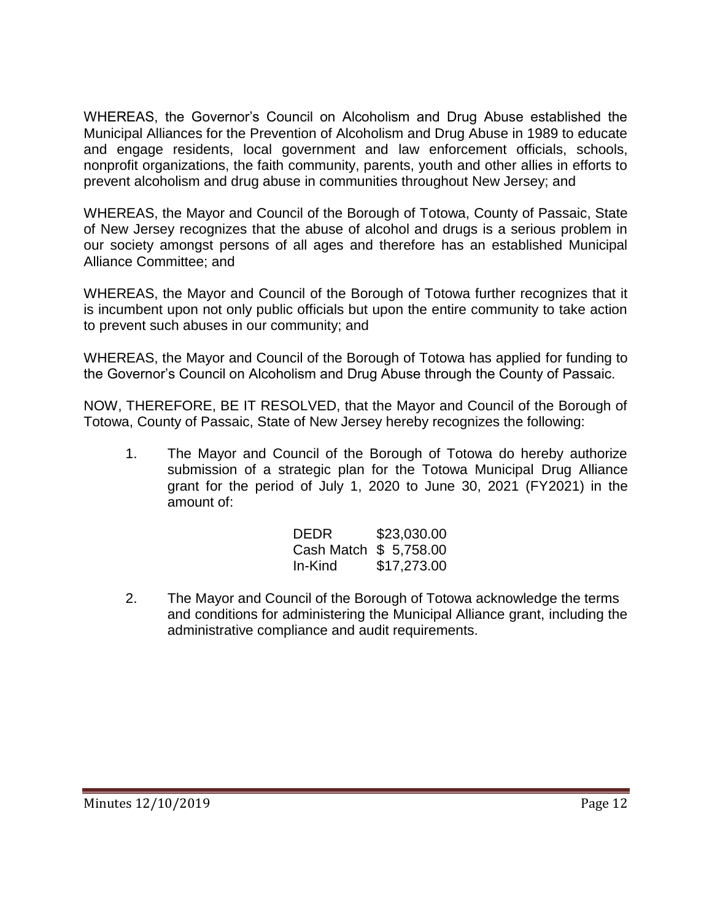WHEREAS, the Governor's Council on Alcoholism and Drug Abuse established the Municipal Alliances for the Prevention of Alcoholism and Drug Abuse in 1989 to educate and engage residents, local government and law enforcement officials, schools, nonprofit organizations, the faith community, parents, youth and other allies in efforts to prevent alcoholism and drug abuse in communities throughout New Jersey; and

WHEREAS, the Mayor and Council of the Borough of Totowa, County of Passaic, State of New Jersey recognizes that the abuse of alcohol and drugs is a serious problem in our society amongst persons of all ages and therefore has an established Municipal Alliance Committee; and

WHEREAS, the Mayor and Council of the Borough of Totowa further recognizes that it is incumbent upon not only public officials but upon the entire community to take action to prevent such abuses in our community; and

WHEREAS, the Mayor and Council of the Borough of Totowa has applied for funding to the Governor's Council on Alcoholism and Drug Abuse through the County of Passaic.

NOW, THEREFORE, BE IT RESOLVED, that the Mayor and Council of the Borough of Totowa, County of Passaic, State of New Jersey hereby recognizes the following:

1. The Mayor and Council of the Borough of Totowa do hereby authorize submission of a strategic plan for the Totowa Municipal Drug Alliance grant for the period of July 1, 2020 to June 30, 2021 (FY2021) in the amount of:

| DEDR                   | \$23,030.00 |
|------------------------|-------------|
| Cash Match \$ 5,758.00 |             |
| In-Kind                | \$17,273.00 |

2. The Mayor and Council of the Borough of Totowa acknowledge the terms and conditions for administering the Municipal Alliance grant, including the administrative compliance and audit requirements.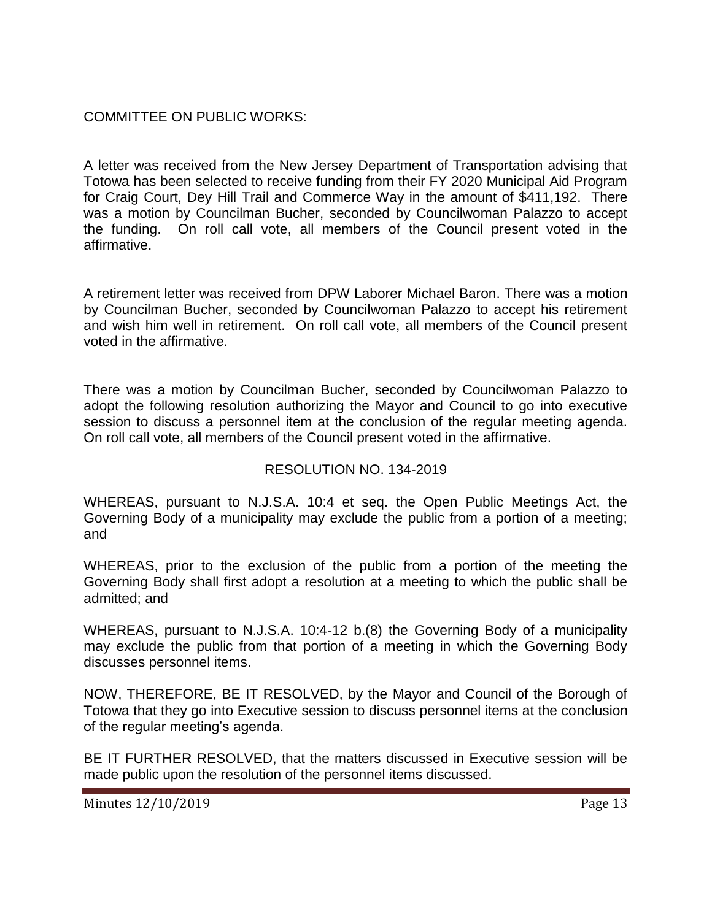# COMMITTEE ON PUBLIC WORKS:

A letter was received from the New Jersey Department of Transportation advising that Totowa has been selected to receive funding from their FY 2020 Municipal Aid Program for Craig Court, Dey Hill Trail and Commerce Way in the amount of \$411,192. There was a motion by Councilman Bucher, seconded by Councilwoman Palazzo to accept the funding. On roll call vote, all members of the Council present voted in the affirmative.

A retirement letter was received from DPW Laborer Michael Baron. There was a motion by Councilman Bucher, seconded by Councilwoman Palazzo to accept his retirement and wish him well in retirement. On roll call vote, all members of the Council present voted in the affirmative.

There was a motion by Councilman Bucher, seconded by Councilwoman Palazzo to adopt the following resolution authorizing the Mayor and Council to go into executive session to discuss a personnel item at the conclusion of the regular meeting agenda. On roll call vote, all members of the Council present voted in the affirmative.

## RESOLUTION NO. 134-2019

WHEREAS, pursuant to N.J.S.A. 10:4 et seq. the Open Public Meetings Act, the Governing Body of a municipality may exclude the public from a portion of a meeting; and

WHEREAS, prior to the exclusion of the public from a portion of the meeting the Governing Body shall first adopt a resolution at a meeting to which the public shall be admitted; and

WHEREAS, pursuant to N.J.S.A. 10:4-12 b.(8) the Governing Body of a municipality may exclude the public from that portion of a meeting in which the Governing Body discusses personnel items.

NOW, THEREFORE, BE IT RESOLVED, by the Mayor and Council of the Borough of Totowa that they go into Executive session to discuss personnel items at the conclusion of the regular meeting's agenda.

BE IT FURTHER RESOLVED, that the matters discussed in Executive session will be made public upon the resolution of the personnel items discussed.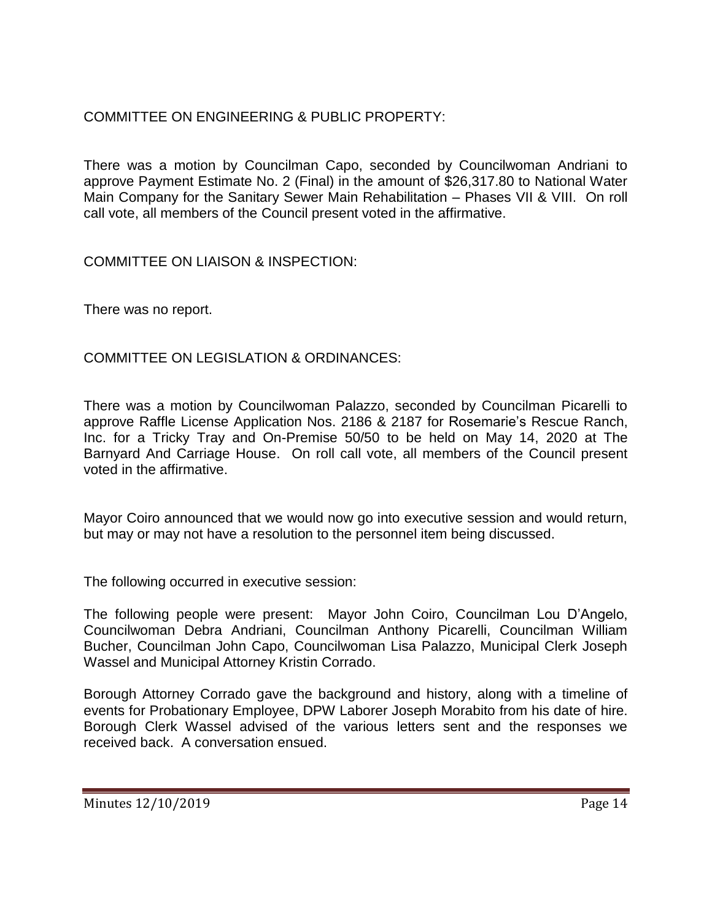# COMMITTEE ON ENGINEERING & PUBLIC PROPERTY:

There was a motion by Councilman Capo, seconded by Councilwoman Andriani to approve Payment Estimate No. 2 (Final) in the amount of \$26,317.80 to National Water Main Company for the Sanitary Sewer Main Rehabilitation – Phases VII & VIII. On roll call vote, all members of the Council present voted in the affirmative.

COMMITTEE ON LIAISON & INSPECTION:

There was no report.

COMMITTEE ON LEGISLATION & ORDINANCES:

There was a motion by Councilwoman Palazzo, seconded by Councilman Picarelli to approve Raffle License Application Nos. 2186 & 2187 for Rosemarie's Rescue Ranch, Inc. for a Tricky Tray and On-Premise 50/50 to be held on May 14, 2020 at The Barnyard And Carriage House. On roll call vote, all members of the Council present voted in the affirmative.

Mayor Coiro announced that we would now go into executive session and would return, but may or may not have a resolution to the personnel item being discussed.

The following occurred in executive session:

The following people were present: Mayor John Coiro, Councilman Lou D'Angelo, Councilwoman Debra Andriani, Councilman Anthony Picarelli, Councilman William Bucher, Councilman John Capo, Councilwoman Lisa Palazzo, Municipal Clerk Joseph Wassel and Municipal Attorney Kristin Corrado.

Borough Attorney Corrado gave the background and history, along with a timeline of events for Probationary Employee, DPW Laborer Joseph Morabito from his date of hire. Borough Clerk Wassel advised of the various letters sent and the responses we received back. A conversation ensued.